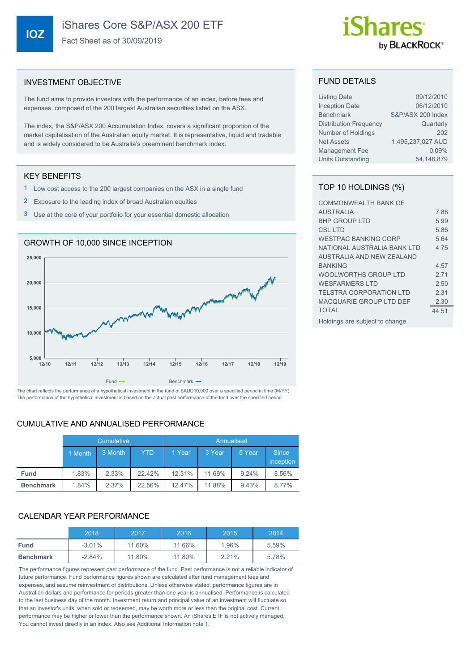## iShares Core S&P/ASX 200 ETF

Fact Sheet as of 30/09/2019

# by **BLACKROCK**®

#### INVESTMENT OBJECTIVE

The fund aims to provide investors with the performance of an index, before fees and expenses, composed of the 200 largest Australian securities listed on the ASX.

The index, the S&P/ASX 200 Accumulation Index, covers a significant proportion of the market capitalisation of the Australian equity market. It is representative, liquid and tradable and is widely considered to be Australia's preeminent benchmark index.

#### KEY BENEFITS

- 1 Low cost access to the 200 largest companies on the ASX in a single fund
- 2 Exposure to the leading index of broad Australian equities
- 3 Use at the core of your portfolio for your essential domestic allocation



The performance of the hypothetical investment is based on the actual past performance of the fund over the specified period.

#### CUMULATIVE AND ANNUALISED PERFORMANCE

|                  | Cumulative |         |            | Annualised |        |        |                           |
|------------------|------------|---------|------------|------------|--------|--------|---------------------------|
|                  | 1 Month    | 3 Month | <b>YTD</b> | 1 Year     | 3 Year | 5 Year | <b>Since</b><br>Inception |
| <b>Fund</b>      | 1.83%      | 2.33%   | 22.42%     | 12.31%     | 11.69% | 9.24%  | 8.56%                     |
| <b>Benchmark</b> | 1.84%      | 2.37%   | 22.56%     | 12.47%     | 11.88% | 9.43%  | 8.77%                     |

### CALENDAR YEAR PERFORMANCE

|                  | 2018     | 2017   | 2016   | 2015  | 2014  |
|------------------|----------|--------|--------|-------|-------|
| <b>Fund</b>      | $-3.01%$ | 11.60% | 11.66% | 1.96% | 5.59% |
| <b>Benchmark</b> | $-2.84%$ | 11.80% | 11.80% | 2.21% | 5.78% |

The performance figures represent past performance of the fund. Past performance is not a reliable indicator of future performance. Fund performance figures shown are calculated after fund management fees and expenses, and assume reinvestment of distributions. Unless otherwise stated, performance figures are in Australian dollars and performance for periods greater than one year is annualised. Performance is calculated to the last business day of the month. Investment return and principal value of an investment will fluctuate so that an investor's units, when sold or redeemed, may be worth more or less than the original cost. Current performance may be higher or lower than the performance shown. An iShares ETF is not actively managed. You cannot invest directly in an index. Also see Additional Information note 1.

#### FUND DETAILS

| <b>Listing Date</b>           | 09/12/2010        |
|-------------------------------|-------------------|
| <b>Inception Date</b>         | 06/12/2010        |
| <b>Benchmark</b>              | S&P/ASX 200 Index |
| <b>Distribution Frequency</b> | Quarterly         |
| Number of Holdings            | 202               |
| <b>Net Assets</b>             | 1,495,237,027 AUD |
| <b>Management Fee</b>         | 0.09%             |
| Units Outstanding             | 54,146,879        |

#### TOP 10 HOLDINGS (%)

| <b>COMMONWEALTH BANK OF</b>     |       |
|---------------------------------|-------|
| <b>AUSTRALIA</b>                | 7.88  |
| <b>BHP GROUP LTD</b>            | 5.99  |
| <b>CSL LTD</b>                  | 5.86  |
| <b>WESTPAC BANKING CORP</b>     | 5.64  |
| NATIONAL AUSTRALIA BANK LTD     | 4 75  |
| AUSTRALIA AND NEW ZEALAND       |       |
| <b>BANKING</b>                  | 4.57  |
| WOOLWORTHS GROUP LTD            | 271   |
| <b>WESFARMERS LTD</b>           | 2.50  |
| <b>TELSTRA CORPORATION LTD</b>  | 2 31  |
| MACQUARIE GROUP LTD DEF         | 2.30  |
| <b>TOTAL</b>                    | 44.51 |
| Holdings are subject to change. |       |